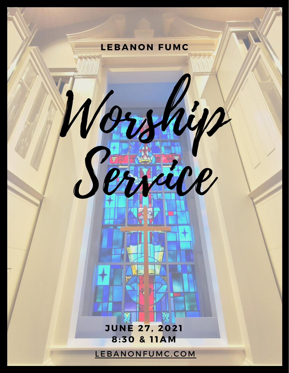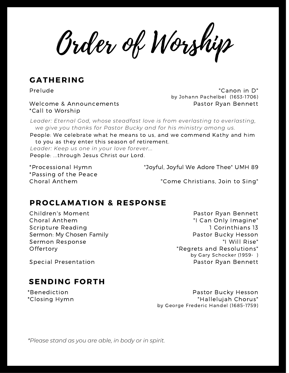Order of Worship

## **GATHERING**

Prelude

Welcome & Announcements \*Call to Worship

"Canon in D" by Johann Pachelbel (1653-1706) Pastor Ryan Bennett

*Leader: Eternal God, whose steadfast love is from everlasting to everlasting, we give you thanks for Pastor Bucky and for his ministry among us.*

People: We celebrate what he means to us, and we commend Kathy and him to you as they enter this season of retirement.

*Leader: Keep us one in your love forever...* People: ...through Jesus Christ our Lord.

\*Processional Hymn \*Passing of the Peace Choral Anthem

"Joyful, Joyful We Adore Thee" UMH 89

"Come Christians, Join to Sing"

#### **PROCLAMATION & RESPONSE**

Children's Moment Choral Anthem Scripture Reading Sermon: My Chosen Family Sermon Response **Offertory** 

Pastor Ryan Bennett "I Can Only Imagine" 1 Corinthians 13 Pastor Bucky Hesson "I Will Rise" "Regrets and Resolutions" by Gary Schocker (1959- ) Pastor Ryan Bennett

Special Presentation

## **SENDING FORTH**

\*Benediction \*Closing Hymn

Pastor Bucky Hesson "Hallelujah Chorus" by George Frederic Handel (1685-1759)

*\*Please stand as you are able, in body or in spirit.*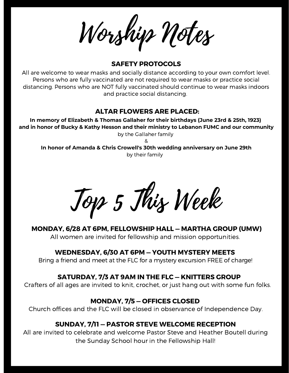Worship Notes

#### **SAFETY PROTOCOLS**

All are welcome to wear masks and socially distance according to your own comfort level. Persons who are fully vaccinated are not required to wear masks or practice social distancing. Persons who are NOT fully vaccinated should continue to wear masks indoors and practice social distancing.

#### **ALTAR FLOWERS ARE PLACED:**

**In memory of Elizabeth & Thomas Gallaher for their birthdays (June 23rd & 25th, 1923) and in honor of Bucky & Kathy Hesson and their ministry to Lebanon FUMC and our community** by the Gallaher family

&

**In honor of Amanda & Chris Crowell's 30th wedding anniversary on June 29th** by their family

Top 5 This Week

**MONDAY, 6/28 AT 6PM, FELLOWSHIP HALL — MARTHA GROUP (UMW)** All women are invited for fellowship and mission opportunities.

#### **WEDNESDAY, 6/30 AT 6PM — YOUTH MYSTERY MEETS**

Bring a friend and meet at the FLC for a mystery excursion FREE of charge!

#### **SATURDAY, 7/3 AT 9AM IN THE FLC — KNITTERS GROUP**

Crafters of all ages are invited to knit, crochet, or just hang out with some fun folks.

#### **MONDAY, 7/5 — OFFICES CLOSED**

Church offices and the FLC will be closed in observance of Independence Day.

#### **SUNDAY, 7/11 — PASTOR STEVE WELCOME RECEPTION**

All are invited to celebrate and welcome Pastor Steve and Heather Boutell during the Sunday School hour in the Fellowship Hall!